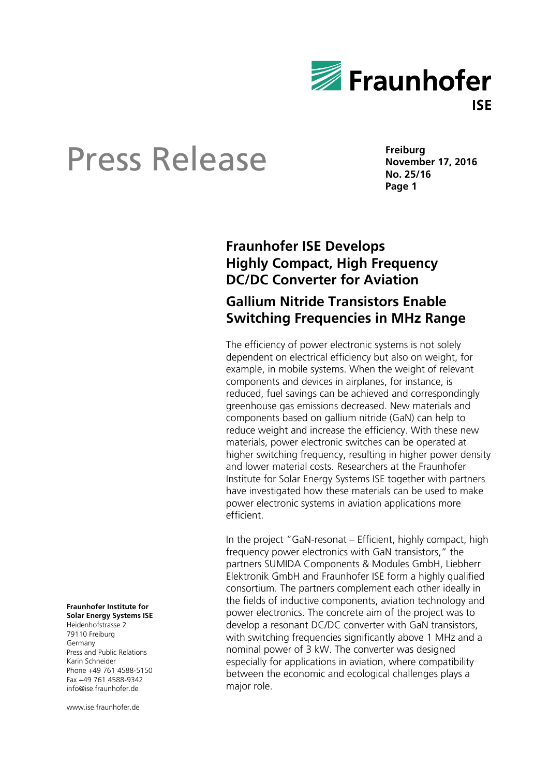

**Freiburg November 17, 2016 No. 25/16 Page 1** 

# **Fraunhofer ISE Develops Highly Compact, High Frequency DC/DC Converter for Aviation**

## **Gallium Nitride Transistors Enable Switching Frequencies in MHz Range**

The efficiency of power electronic systems is not solely dependent on electrical efficiency but also on weight, for example, in mobile systems. When the weight of relevant components and devices in airplanes, for instance, is reduced, fuel savings can be achieved and correspondingly greenhouse gas emissions decreased. New materials and components based on gallium nitride (GaN) can help to reduce weight and increase the efficiency. With these new materials, power electronic switches can be operated at higher switching frequency, resulting in higher power density and lower material costs. Researchers at the Fraunhofer Institute for Solar Energy Systems ISE together with partners have investigated how these materials can be used to make power electronic systems in aviation applications more efficient.

In the project "GaN-resonat – Efficient, highly compact, high frequency power electronics with GaN transistors," the partners SUMIDA Components & Modules GmbH, Liebherr Elektronik GmbH and Fraunhofer ISE form a highly qualified consortium. The partners complement each other ideally in the fields of inductive components, aviation technology and power electronics. The concrete aim of the project was to develop a resonant DC/DC converter with GaN transistors, with switching frequencies significantly above 1 MHz and a nominal power of 3 kW. The converter was designed especially for applications in aviation, where compatibility between the economic and ecological challenges plays a major role.

#### **Fraunhofer Institute for Solar Energy Systems ISE**

Heidenhofstrasse 2 79110 Freiburg Germany Press and Public Relations Karin Schneider Phone +49 761 4588-5150 Fax +49 761 4588-9342 info@ise.fraunhofer.de

www.ise.fraunhofer.de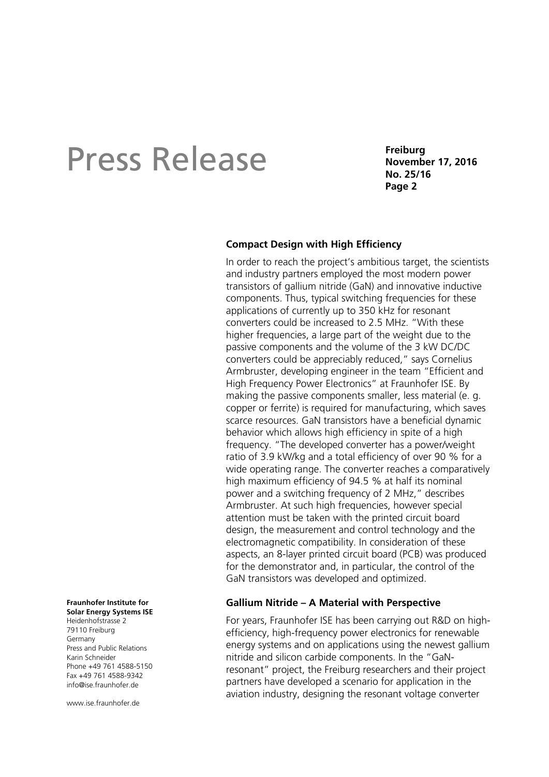**Freiburg November 17, 2016 No. 25/16 Page 2** 

### **Compact Design with High Efficiency**

In order to reach the project's ambitious target, the scientists and industry partners employed the most modern power transistors of gallium nitride (GaN) and innovative inductive components. Thus, typical switching frequencies for these applications of currently up to 350 kHz for resonant converters could be increased to 2.5 MHz. "With these higher frequencies, a large part of the weight due to the passive components and the volume of the 3 kW DC/DC converters could be appreciably reduced," says Cornelius Armbruster, developing engineer in the team "Efficient and High Frequency Power Electronics" at Fraunhofer ISE. By making the passive components smaller, less material (e. g. copper or ferrite) is required for manufacturing, which saves scarce resources. GaN transistors have a beneficial dynamic behavior which allows high efficiency in spite of a high frequency. "The developed converter has a power/weight ratio of 3.9 kW/kg and a total efficiency of over 90 % for a wide operating range. The converter reaches a comparatively high maximum efficiency of 94.5 % at half its nominal power and a switching frequency of 2 MHz," describes Armbruster. At such high frequencies, however special attention must be taken with the printed circuit board design, the measurement and control technology and the electromagnetic compatibility. In consideration of these aspects, an 8-layer printed circuit board (PCB) was produced for the demonstrator and, in particular, the control of the GaN transistors was developed and optimized.

### **Gallium Nitride – A Material with Perspective**

For years, Fraunhofer ISE has been carrying out R&D on highefficiency, high-frequency power electronics for renewable energy systems and on applications using the newest gallium nitride and silicon carbide components. In the "GaNresonant" project, the Freiburg researchers and their project partners have developed a scenario for application in the aviation industry, designing the resonant voltage converter

## **Fraunhofer Institute for**

**Solar Energy Systems ISE**  Heidenhofstrasse 2 79110 Freiburg Germany Press and Public Relations Karin Schneider Phone +49 761 4588-5150 Fax +49 761 4588-9342 info@ise.fraunhofer.de

www.jse.fraunhofer.de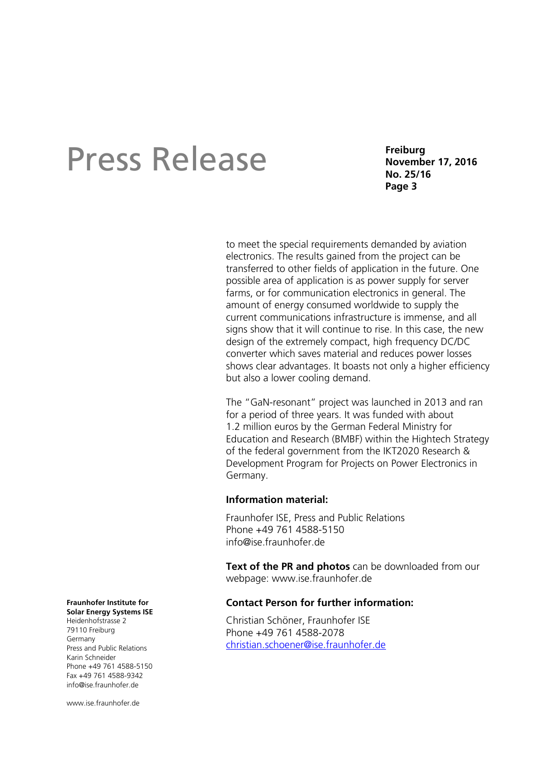**Freiburg November 17, 2016 No. 25/16 Page 3** 

to meet the special requirements demanded by aviation electronics. The results gained from the project can be transferred to other fields of application in the future. One possible area of application is as power supply for server farms, or for communication electronics in general. The amount of energy consumed worldwide to supply the current communications infrastructure is immense, and all signs show that it will continue to rise. In this case, the new design of the extremely compact, high frequency DC/DC converter which saves material and reduces power losses shows clear advantages. It boasts not only a higher efficiency but also a lower cooling demand.

The "GaN-resonant" project was launched in 2013 and ran for a period of three years. It was funded with about 1.2 million euros by the German Federal Ministry for Education and Research (BMBF) within the Hightech Strategy of the federal government from the IKT2020 Research & Development Program for Projects on Power Electronics in Germany.

### **Information material:**

Fraunhofer ISE, Press and Public Relations Phone +49 761 4588-5150 info@ise.fraunhofer.de

**Text of the PR and photos** can be downloaded from our webpage: www.ise.fraunhofer.de

### **Contact Person for further information:**

Christian Schöner, Fraunhofer ISE Phone +49 761 4588-2078 christian.schoener@ise.fraunhofer.de

#### **Fraunhofer Institute for**

**Solar Energy Systems ISE**  Heidenhofstrasse 2 79110 Freiburg Germany Press and Public Relations Karin Schneider Phone +49 761 4588-5150 Fax +49 761 4588-9342 info@ise.fraunhofer.de

www.jse.fraunhofer.de